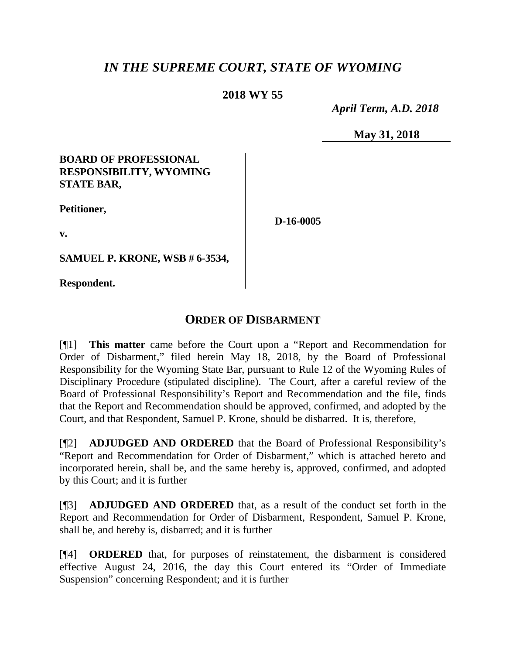# *IN THE SUPREME COURT, STATE OF WYOMING*

## **2018 WY 55**

 *April Term, A.D. 2018*

**May 31, 2018**

## **BOARD OF PROFESSIONAL RESPONSIBILITY, WYOMING STATE BAR,**

**Petitioner,**

**D-16-0005**

**v.**

**SAMUEL P. KRONE, WSB # 6-3534,**

**Respondent.**

# **ORDER OF DISBARMENT**

[¶1] **This matter** came before the Court upon a "Report and Recommendation for Order of Disbarment," filed herein May 18, 2018, by the Board of Professional Responsibility for the Wyoming State Bar, pursuant to Rule 12 of the Wyoming Rules of Disciplinary Procedure (stipulated discipline). The Court, after a careful review of the Board of Professional Responsibility's Report and Recommendation and the file, finds that the Report and Recommendation should be approved, confirmed, and adopted by the Court, and that Respondent, Samuel P. Krone, should be disbarred. It is, therefore,

[¶2] **ADJUDGED AND ORDERED** that the Board of Professional Responsibility's "Report and Recommendation for Order of Disbarment," which is attached hereto and incorporated herein, shall be, and the same hereby is, approved, confirmed, and adopted by this Court; and it is further

[¶3] **ADJUDGED AND ORDERED** that, as a result of the conduct set forth in the Report and Recommendation for Order of Disbarment, Respondent, Samuel P. Krone, shall be, and hereby is, disbarred; and it is further

[¶4] **ORDERED** that, for purposes of reinstatement, the disbarment is considered effective August 24, 2016, the day this Court entered its "Order of Immediate Suspension" concerning Respondent; and it is further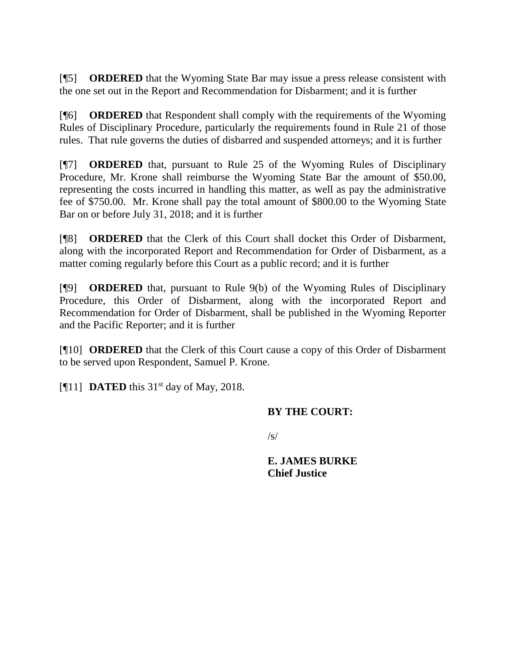[¶5] **ORDERED** that the Wyoming State Bar may issue a press release consistent with the one set out in the Report and Recommendation for Disbarment; and it is further

[¶6] **ORDERED** that Respondent shall comply with the requirements of the Wyoming Rules of Disciplinary Procedure, particularly the requirements found in Rule 21 of those rules. That rule governs the duties of disbarred and suspended attorneys; and it is further

[¶7] **ORDERED** that, pursuant to Rule 25 of the Wyoming Rules of Disciplinary Procedure, Mr. Krone shall reimburse the Wyoming State Bar the amount of \$50.00, representing the costs incurred in handling this matter, as well as pay the administrative fee of \$750.00. Mr. Krone shall pay the total amount of \$800.00 to the Wyoming State Bar on or before July 31, 2018; and it is further

[¶8] **ORDERED** that the Clerk of this Court shall docket this Order of Disbarment, along with the incorporated Report and Recommendation for Order of Disbarment, as a matter coming regularly before this Court as a public record; and it is further

[¶9] **ORDERED** that, pursuant to Rule 9(b) of the Wyoming Rules of Disciplinary Procedure, this Order of Disbarment, along with the incorporated Report and Recommendation for Order of Disbarment, shall be published in the Wyoming Reporter and the Pacific Reporter; and it is further

[¶10] **ORDERED** that the Clerk of this Court cause a copy of this Order of Disbarment to be served upon Respondent, Samuel P. Krone.

[ $[$ [11] **DATED** this 31<sup>st</sup> day of May, 2018.

## **BY THE COURT:**

 $\sqrt{s}$ 

**E. JAMES BURKE Chief Justice**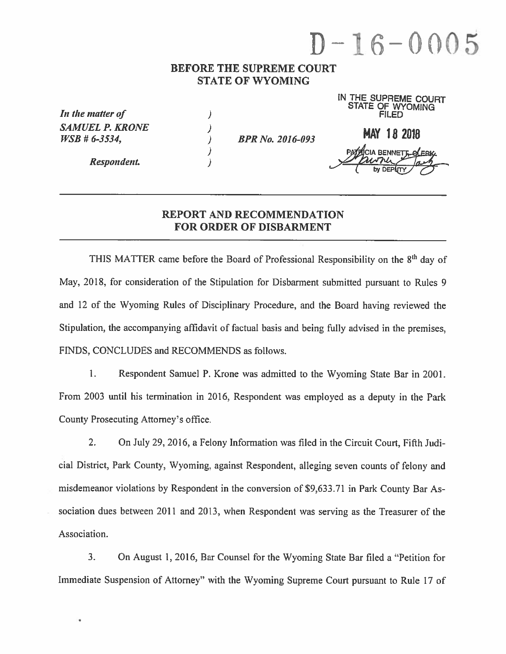# $D - 16 - 0005$

IN THE OUDDRUG ANIL

#### **BEFORE THE SUPREME COURT STATE OF WYOMING**

| In the matter of                             |                         | IN THE SUPHEME COURT<br>FILED |
|----------------------------------------------|-------------------------|-------------------------------|
| <b>SAMUEL P. KRONE</b><br>$WSB \# 6 - 3534,$ | <b>BPR No. 2016-093</b> | <b>MAY 18 2018</b>            |
| Respondent.                                  |                         | <b>CIA BENNETT OF EBIG</b>    |

## **REPORT AND RECOMMENDATION FOR ORDER OF DISBARMENT**

THIS MATTER came before the Board of Professional Responsibility on the 8<sup>th</sup> day of May, 2018, for consideration of the Stipulation for Disbarment submitted pursuant to Rules 9 and 12 of the Wyoming Rules of Disciplinary Procedure, and the Board having reviewed the Stipulation, the accompanying affidavit of factual basis and being fully advised in the premises. FINDS, CONCLUDES and RECOMMENDS as follows.

Respondent Samuel P. Krone was admitted to the Wyoming State Bar in 2001.  $\mathbf{1}$ . From 2003 until his termination in 2016, Respondent was employed as a deputy in the Park County Prosecuting Attorney's office.

 $2.$ On July 29, 2016, a Felony Information was filed in the Circuit Court, Fifth Judicial District, Park County, Wyoming, against Respondent, alleging seven counts of felony and misdemeanor violations by Respondent in the conversion of \$9,633.71 in Park County Bar Association dues between 2011 and 2013, when Respondent was serving as the Treasurer of the Association.

 $3.$ On August 1, 2016, Bar Counsel for the Wyoming State Bar filed a "Petition for Immediate Suspension of Attorney" with the Wyoming Supreme Court pursuant to Rule 17 of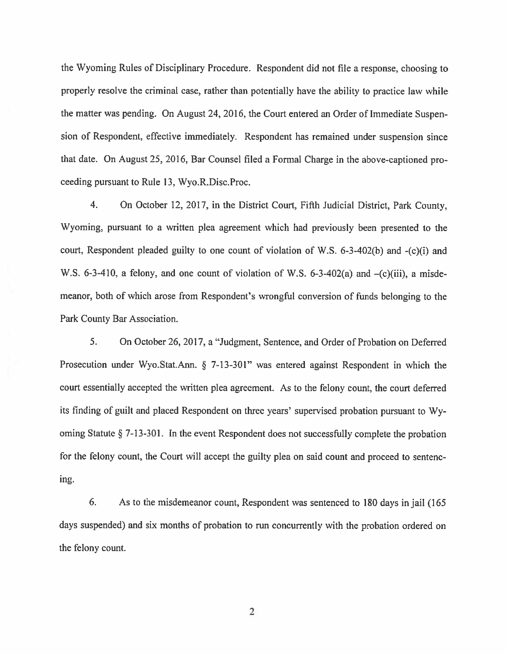the Wyoming Rules of Disciplinary Procedure. Respondent did not file a response, choosing to properly resolve the criminal case, rather than potentially have the ability to practice law while the matter was pending. On August 24, 2016, the Court entered an Order of Immediate Suspension of Respondent, effective immediately. Respondent has remained under suspension since that date. On August 25, 2016, Bar Counsel filed a Formal Charge in the above-captioned proceeding pursuant to Rule 13, Wyo.R.Disc.Proc.

On October 12, 2017, in the District Court, Fifth Judicial District, Park County,  $4.$ Wyoming, pursuant to a written plea agreement which had previously been presented to the court, Respondent pleaded guilty to one count of violation of W.S. 6-3-402(b) and -(c)(i) and W.S. 6-3-410, a felony, and one count of violation of W.S. 6-3-402(a) and  $-(c)(iii)$ , a misdemeanor, both of which arose from Respondent's wrongful conversion of funds belonging to the Park County Bar Association.

5. On October 26, 2017, a "Judgment, Sentence, and Order of Probation on Deferred Prosecution under Wyo.Stat.Ann. § 7-13-301" was entered against Respondent in which the court essentially accepted the written plea agreement. As to the felony count, the court deferred its finding of guilt and placed Respondent on three years' supervised probation pursuant to Wyoming Statute  $\S$  7-13-301. In the event Respondent does not successfully complete the probation for the felony count, the Court will accept the guilty plea on said count and proceed to sentencing.

6. As to the misdemeanor count, Respondent was sentenced to 180 days in jail (165) days suspended) and six months of probation to run concurrently with the probation ordered on the felony count.

2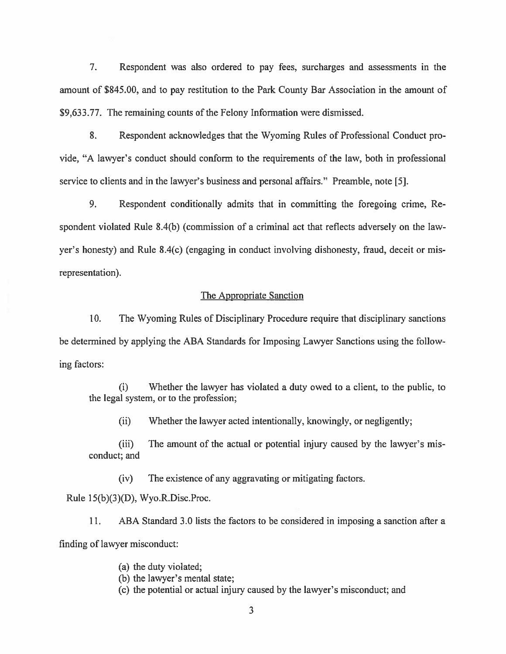$7<sub>1</sub>$ Respondent was also ordered to pay fees, surcharges and assessments in the amount of \$845.00, and to pay restitution to the Park County Bar Association in the amount of \$9,633.77. The remaining counts of the Felony Information were dismissed.

8. Respondent acknowledges that the Wyoming Rules of Professional Conduct provide, "A lawyer's conduct should conform to the requirements of the law, both in professional service to clients and in the lawyer's business and personal affairs." Preamble, note [5].

9. Respondent conditionally admits that in committing the foregoing crime, Respondent violated Rule 8.4(b) (commission of a criminal act that reflects adversely on the lawyer's honesty) and Rule 8.4(c) (engaging in conduct involving dishonesty, fraud, deceit or misrepresentation).

#### The Appropriate Sanction

10. The Wyoming Rules of Disciplinary Procedure require that disciplinary sanctions be determined by applying the ABA Standards for Imposing Lawyer Sanctions using the following factors:

Whether the lawyer has violated a duty owed to a client, to the public, to (i) the legal system, or to the profession;

 $(ii)$ Whether the lawyer acted intentionally, knowingly, or negligently;

 $(iii)$ The amount of the actual or potential injury caused by the lawyer's misconduct; and

The existence of any aggravating or mitigating factors.  $(iv)$ 

Rule 15(b)(3)(D), Wyo.R.Disc.Proc.

ABA Standard 3.0 lists the factors to be considered in imposing a sanction after a  $11.$ finding of lawyer misconduct:

(a) the duty violated;

(b) the lawyer's mental state;

(c) the potential or actual injury caused by the lawyer's misconduct; and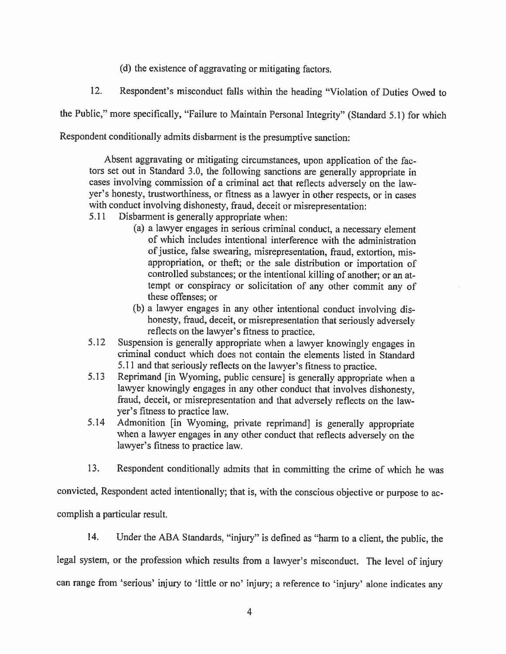(d) the existence of aggravating or mitigating factors.

12. Respondent's misconduct falls within the heading "Violation of Duties Owed to

the Public," more specifically, "Failure to Maintain Personal Integrity" (Standard 5.1) for which

Respondent conditionally admits disbarment is the presumptive sanction:

Absent aggravating or mitigating circumstances, upon application of the factors set out in Standard 3.0, the following sanctions are generally appropriate in cases involving commission of a criminal act that reflects adversely on the lawyer's honesty, trustworthiness, or fitness as a lawyer in other respects, or in cases with conduct involving dishonesty, fraud, deceit or misrepresentation:

- Disbarment is generally appropriate when: 5.11
	- (a) a lawyer engages in serious criminal conduct, a necessary element of which includes intentional interference with the administration of justice, false swearing, misrepresentation, fraud, extortion, misappropriation, or theft; or the sale distribution or importation of controlled substances; or the intentional killing of another; or an attempt or conspiracy or solicitation of any other commit any of these offenses: or
	- (b) a lawyer engages in any other intentional conduct involving dishonesty, fraud, deceit, or misrepresentation that seriously adversely reflects on the lawyer's fitness to practice.
- Suspension is generally appropriate when a lawyer knowingly engages in  $5.12$ criminal conduct which does not contain the elements listed in Standard 5.11 and that seriously reflects on the lawyer's fitness to practice.
- Reprimand [in Wyoming, public censure] is generally appropriate when a 5.13 lawyer knowingly engages in any other conduct that involves dishonesty, fraud, deceit, or misrepresentation and that adversely reflects on the lawyer's fitness to practice law.
- Admonition [in Wyoming, private reprimand] is generally appropriate 5.14 when a lawyer engages in any other conduct that reflects adversely on the lawyer's fitness to practice law.
- 13. Respondent conditionally admits that in committing the crime of which he was

convicted, Respondent acted intentionally; that is, with the conscious objective or purpose to accomplish a particular result.

14. Under the ABA Standards, "injury" is defined as "harm to a client, the public, the legal system, or the profession which results from a lawyer's misconduct. The level of injury can range from 'serious' injury to 'little or no' injury; a reference to 'injury' alone indicates any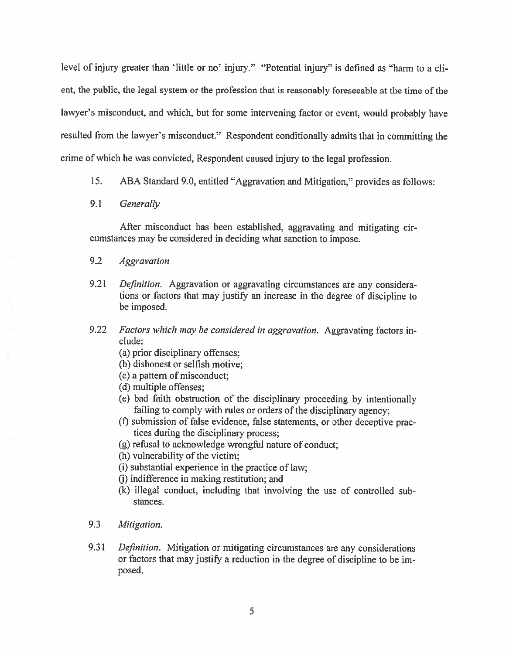level of injury greater than 'little or no' injury." "Potential injury" is defined as "harm to a client, the public, the legal system or the profession that is reasonably foreseeable at the time of the lawyer's misconduct, and which, but for some intervening factor or event, would probably have resulted from the lawyer's misconduct." Respondent conditionally admits that in committing the crime of which he was convicted, Respondent caused injury to the legal profession.

 $15.$ ABA Standard 9.0, entitled "Aggravation and Mitigation," provides as follows:

#### 9.1 Generally

After misconduct has been established, aggravating and mitigating circumstances may be considered in deciding what sanction to impose.

#### $9.2$ **Aggravation**

- $9.21$ Definition. Aggravation or aggravating circumstances are any considerations or factors that may justify an increase in the degree of discipline to be imposed.
- $9.22$ Factors which may be considered in aggravation. Aggravating factors include:
	- (a) prior disciplinary offenses;
	- (b) dishonest or selfish motive:
	- (c) a pattern of misconduct;
	- (d) multiple offenses:
	- (e) bad faith obstruction of the disciplinary proceeding by intentionally failing to comply with rules or orders of the disciplinary agency;
	- (f) submission of false evidence, false statements, or other deceptive practices during the disciplinary process;
	- (g) refusal to acknowledge wrongful nature of conduct;
	- (h) vulnerability of the victim;
	- (i) substantial experience in the practice of law;
	- (i) indifference in making restitution; and
	- (k) illegal conduct, including that involving the use of controlled substances.
- $9.3$ Mitigation.
- 9.31 Definition. Mitigation or mitigating circumstances are any considerations or factors that may justify a reduction in the degree of discipline to be imposed.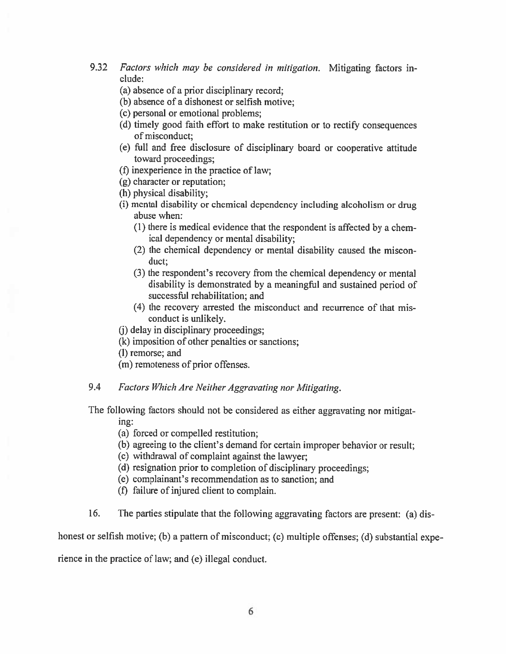- $9.32$ Factors which may be considered in mitigation. Mitigating factors include:
	- (a) absence of a prior disciplinary record;
	- (b) absence of a dishonest or selfish motive;
	- (c) personal or emotional problems;
	- (d) timely good faith effort to make restitution or to rectify consequences of misconduct:
	- (e) full and free disclosure of disciplinary board or cooperative attitude toward proceedings;
	- (f) in experience in the practice of law:
	- (g) character or reputation;
	- (h) physical disability;
	- (i) mental disability or chemical dependency including alcoholism or drug abuse when:
		- (1) there is medical evidence that the respondent is affected by a chemical dependency or mental disability;
		- (2) the chemical dependency or mental disability caused the misconduct:
		- (3) the respondent's recovery from the chemical dependency or mental disability is demonstrated by a meaningful and sustained period of successful rehabilitation; and
		- (4) the recovery arrested the misconduct and recurrence of that misconduct is unlikely.
	- (i) delay in disciplinary proceedings;
	- (k) imposition of other penalties or sanctions:
	- (I) remorse; and
	- (m) remoteness of prior offenses.

#### 9.4 Factors Which Are Neither Aggravating nor Mitigating.

The following factors should not be considered as either aggravating nor mitigating:

(a) forced or compelled restitution;

- (b) agreeing to the client's demand for certain improper behavior or result;
- (c) withdrawal of complaint against the lawyer;
- (d) resignation prior to completion of disciplinary proceedings;
- (e) complainant's recommendation as to sanction; and
- (f) failure of injured client to complain.
- 16. The parties stipulate that the following aggravating factors are present: (a) dis-

honest or selfish motive; (b) a pattern of misconduct; (c) multiple offenses; (d) substantial expe-

rience in the practice of law; and (e) illegal conduct.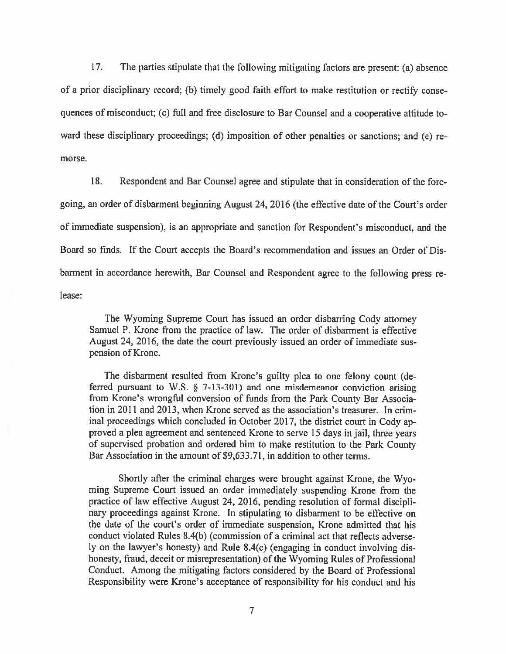The parties stipulate that the following mitigating factors are present: (a) absence 17. of a prior disciplinary record; (b) timely good faith effort to make restitution or rectify consequences of misconduct; (c) full and free disclosure to Bar Counsel and a cooperative attitude toward these disciplinary proceedings; (d) imposition of other penalties or sanctions; and (e) remorse.

18. Respondent and Bar Counsel agree and stipulate that in consideration of the foregoing, an order of disbarment beginning August 24, 2016 (the effective date of the Court's order of immediate suspension), is an appropriate and sanction for Respondent's misconduct, and the Board so finds. If the Court accepts the Board's recommendation and issues an Order of Disbarment in accordance herewith, Bar Counsel and Respondent agree to the following press release:

The Wyoming Supreme Court has issued an order disbarring Cody attorney Samuel P. Krone from the practice of law. The order of disbarment is effective August 24, 2016, the date the court previously issued an order of immediate suspension of Krone.

The disbarment resulted from Krone's guilty plea to one felony count (deferred pursuant to W.S.  $\S$  7-13-301) and one misdemeanor conviction arising from Krone's wrongful conversion of funds from the Park County Bar Association in 2011 and 2013, when Krone served as the association's treasurer. In criminal proceedings which concluded in October 2017, the district court in Cody approved a plea agreement and sentenced Krone to serve 15 days in jail, three years of supervised probation and ordered him to make restitution to the Park County Bar Association in the amount of \$9,633.71, in addition to other terms.

Shortly after the criminal charges were brought against Krone, the Wyoming Supreme Court issued an order immediately suspending Krone from the practice of law effective August 24, 2016, pending resolution of formal disciplinary proceedings against Krone. In stipulating to disbarment to be effective on the date of the court's order of immediate suspension, Krone admitted that his conduct violated Rules 8.4(b) (commission of a criminal act that reflects adversely on the lawyer's honesty) and Rule 8.4(c) (engaging in conduct involving dishonesty, fraud, deceit or misrepresentation) of the Wyoming Rules of Professional Conduct. Among the mitigating factors considered by the Board of Professional Responsibility were Krone's acceptance of responsibility for his conduct and his